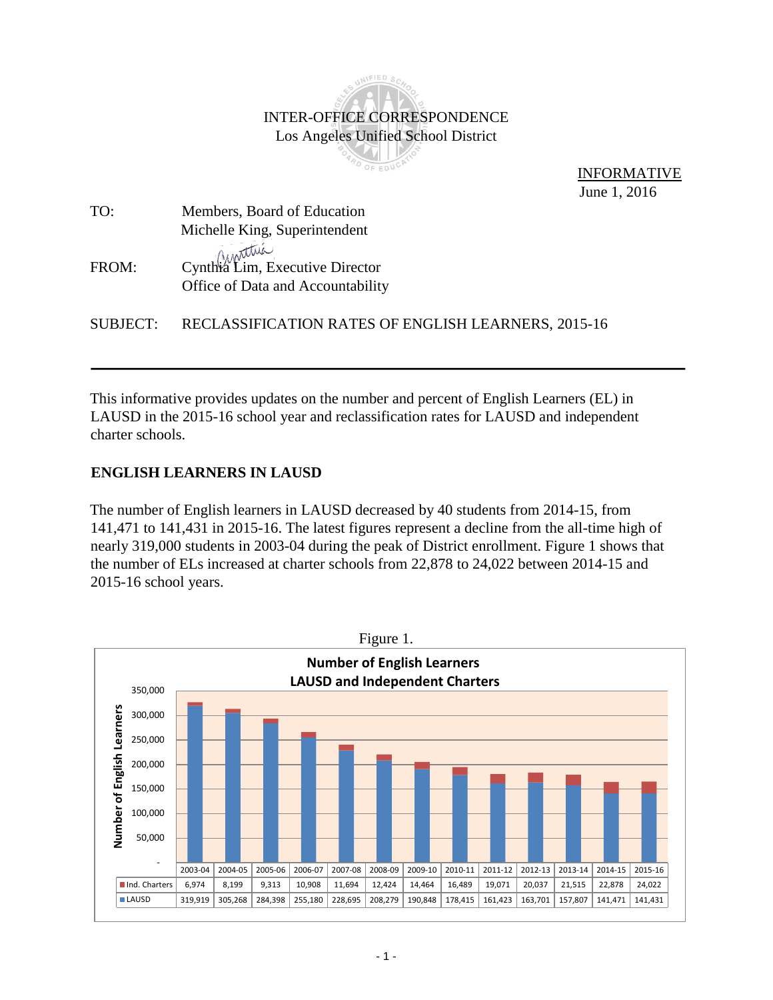## INIFIED SC L B INTER-OFFICE CORRESPONDENCE Los Angeles Unified School District PO OF EDUCP

 INFORMATIVE June 1, 2016

| TO:   | Members, Board of Education                                          |
|-------|----------------------------------------------------------------------|
|       | Michelle King, Superintendent                                        |
| FROM: | Cynthia Lim, Executive Director<br>Office of Data and Accountability |

SUBJECT: RECLASSIFICATION RATES OF ENGLISH LEARNERS, 2015-16

This informative provides updates on the number and percent of English Learners (EL) in LAUSD in the 2015-16 school year and reclassification rates for LAUSD and independent charter schools.

## **ENGLISH LEARNERS IN LAUSD**

The number of English learners in LAUSD decreased by 40 students from 2014-15, from 141,471 to 141,431 in 2015-16. The latest figures represent a decline from the all-time high of nearly 319,000 students in 2003-04 during the peak of District enrollment. Figure 1 shows that the number of ELs increased at charter schools from 22,878 to 24,022 between 2014-15 and 2015-16 school years.

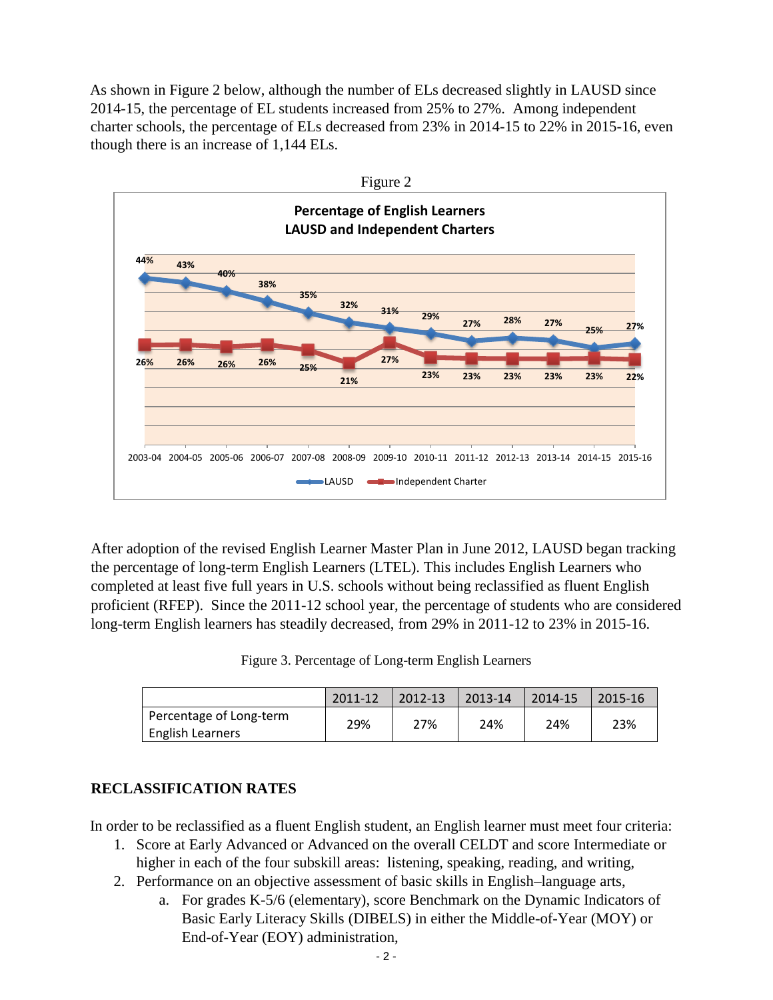As shown in Figure 2 below, although the number of ELs decreased slightly in LAUSD since 2014-15, the percentage of EL students increased from 25% to 27%. Among independent charter schools, the percentage of ELs decreased from 23% in 2014-15 to 22% in 2015-16, even though there is an increase of 1,144 ELs.



After adoption of the revised English Learner Master Plan in June 2012, LAUSD began tracking the percentage of long-term English Learners (LTEL). This includes English Learners who completed at least five full years in U.S. schools without being reclassified as fluent English proficient (RFEP). Since the 2011-12 school year, the percentage of students who are considered long-term English learners has steadily decreased, from 29% in 2011-12 to 23% in 2015-16.

|  |  | Figure 3. Percentage of Long-term English Learners |  |  |
|--|--|----------------------------------------------------|--|--|
|--|--|----------------------------------------------------|--|--|

|                                                    | 2011-12 | 2012-13 | 2013-14 | 2014-15 | 2015-16 |
|----------------------------------------------------|---------|---------|---------|---------|---------|
| Percentage of Long-term<br><b>English Learners</b> | 29%     | 27%     | 24%     | 24%     | 23%     |

## **RECLASSIFICATION RATES**

In order to be reclassified as a fluent English student, an English learner must meet four criteria:

- 1. Score at Early Advanced or Advanced on the overall CELDT and score Intermediate or higher in each of the four subskill areas: listening, speaking, reading, and writing,
- 2. Performance on an objective assessment of basic skills in English–language arts,
	- a. For grades K-5/6 (elementary), score Benchmark on the Dynamic Indicators of Basic Early Literacy Skills (DIBELS) in either the Middle-of-Year (MOY) or End-of-Year (EOY) administration,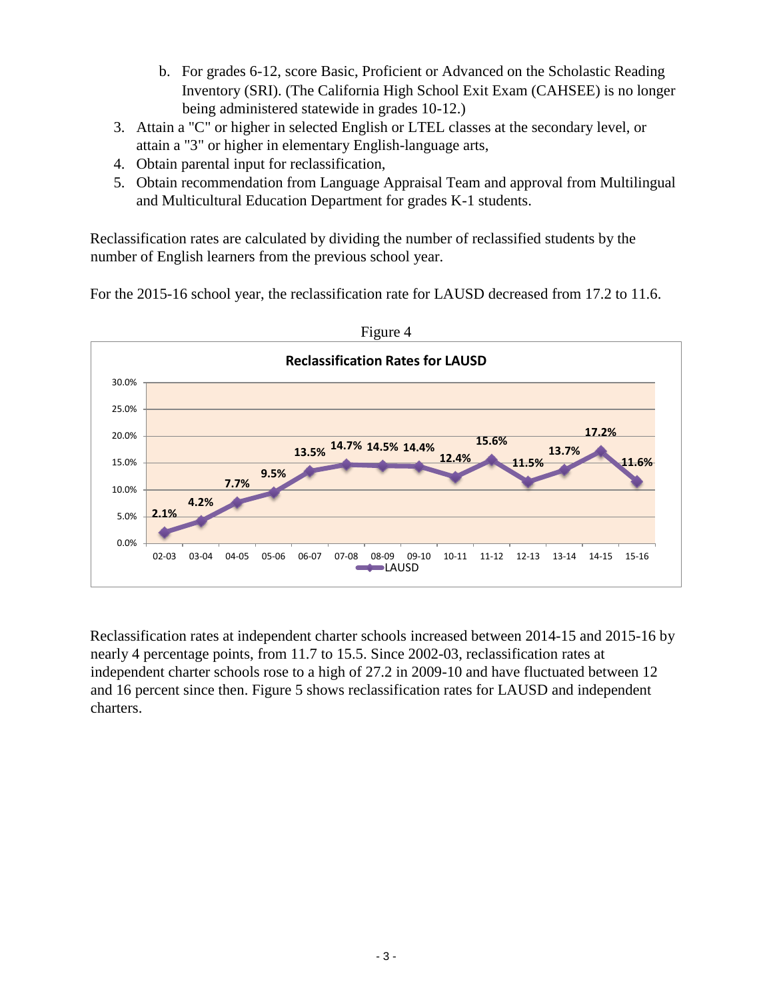- b. For grades 6-12, score Basic, Proficient or Advanced on the Scholastic Reading Inventory (SRI). (The California High School Exit Exam (CAHSEE) is no longer being administered statewide in grades 10-12.)
- 3. Attain a "C" or higher in selected English or LTEL classes at the secondary level, or attain a "3" or higher in elementary English-language arts,
- 4. Obtain parental input for reclassification,
- 5. Obtain recommendation from Language Appraisal Team and approval from Multilingual and Multicultural Education Department for grades K-1 students.

Reclassification rates are calculated by dividing the number of reclassified students by the number of English learners from the previous school year.

For the 2015-16 school year, the reclassification rate for LAUSD decreased from 17.2 to 11.6.



Reclassification rates at independent charter schools increased between 2014-15 and 2015-16 by nearly 4 percentage points, from 11.7 to 15.5. Since 2002-03, reclassification rates at independent charter schools rose to a high of 27.2 in 2009-10 and have fluctuated between 12 and 16 percent since then. Figure 5 shows reclassification rates for LAUSD and independent charters.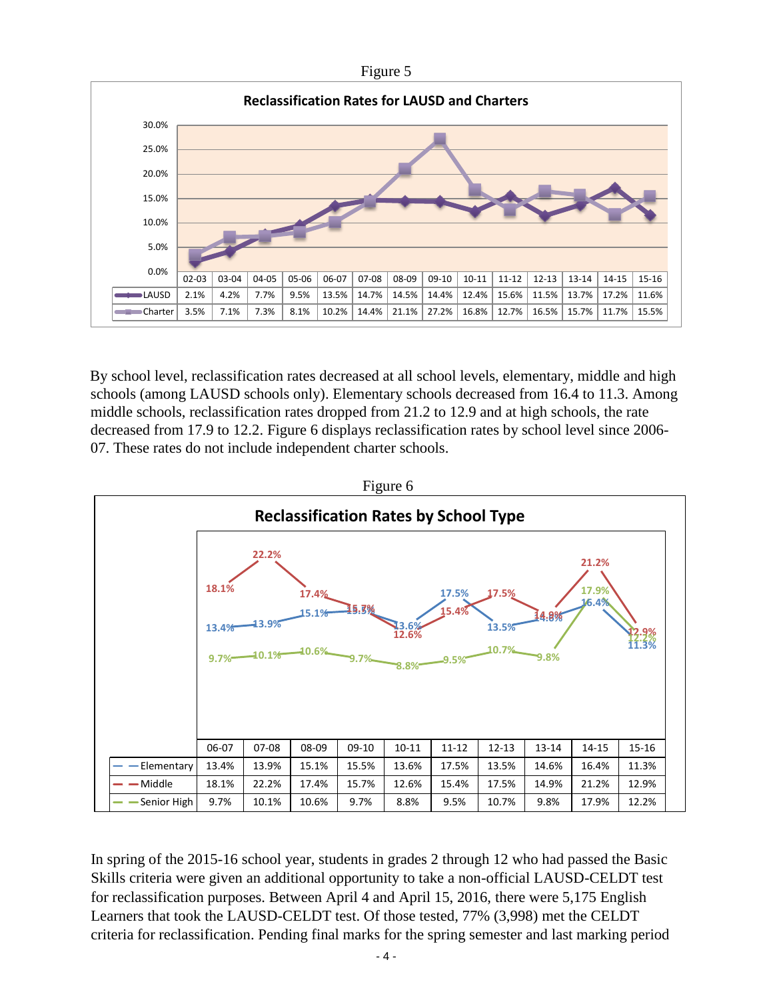

By school level, reclassification rates decreased at all school levels, elementary, middle and high schools (among LAUSD schools only). Elementary schools decreased from 16.4 to 11.3. Among middle schools, reclassification rates dropped from 21.2 to 12.9 and at high schools, the rate decreased from 17.9 to 12.2. Figure 6 displays reclassification rates by school level since 2006- 07. These rates do not include independent charter schools.



In spring of the 2015-16 school year, students in grades 2 through 12 who had passed the Basic Skills criteria were given an additional opportunity to take a non-official LAUSD-CELDT test for reclassification purposes. Between April 4 and April 15, 2016, there were 5,175 English Learners that took the LAUSD-CELDT test. Of those tested, 77% (3,998) met the CELDT criteria for reclassification. Pending final marks for the spring semester and last marking period